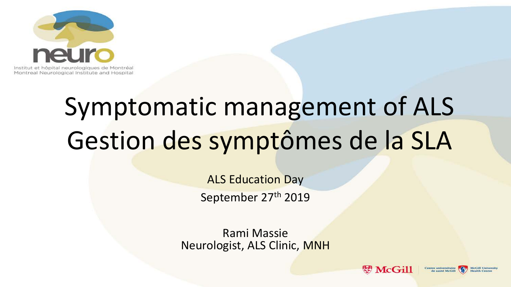

## Symptomatic management of ALS Gestion des symptômes de la SLA

ALS Education Day September 27th 2019

Rami Massie Neurologist, ALS Clinic, MNH

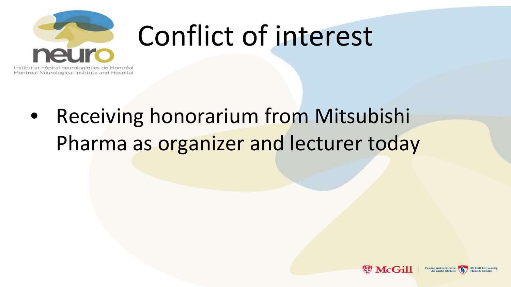

# Conflict of interest

Institut et hôpital neurologiques de Montréal Montreal Neurological Institute and Hospital

#### **Receiving honorarium from Mitsubishi** Pharma as organizer and lecturer today

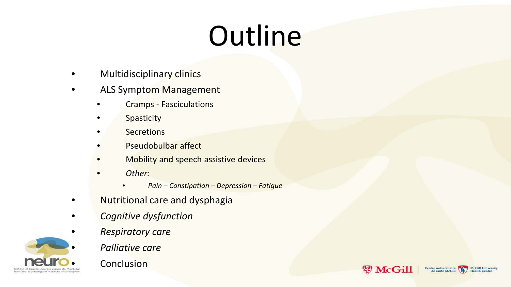# **Outline**

- Multidisciplinary clinics
- ALS Symptom Management
	- Cramps Fasciculations
	- **Spasticity**
	- **Secretions**
	- Pseudobulbar affect
	- Mobility and speech assistive devices
	- *Other:*
		- *Pain – Constipation – Depression – Fatigue*
- Nutritional care and dysphagia
- *Cognitive dysfunction*
- *Respiratory care*
	- *Palliative care*

**Conclusion** 



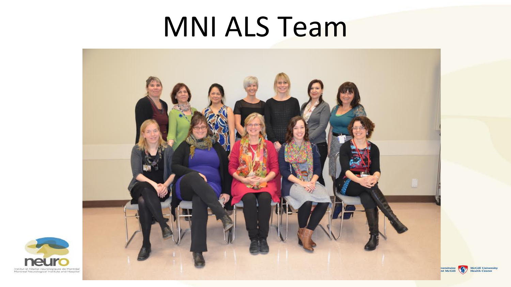#### MNI ALS Team





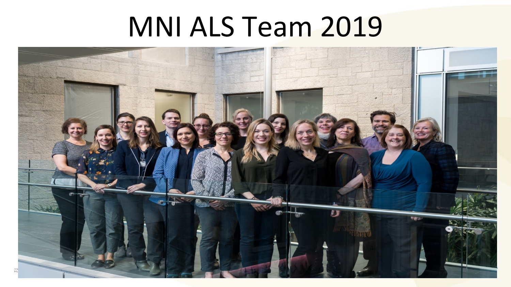### MNI ALS Team 2019

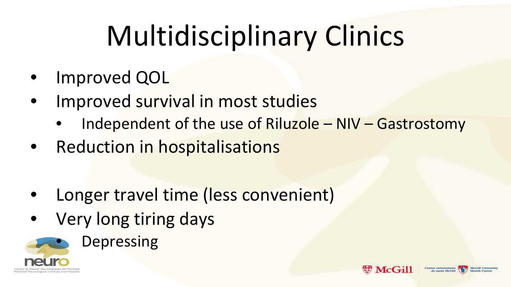# Multidisciplinary Clinics

- Improved QOL
- Improved survival in most studies
	- Independent of the use of Riluzole NIV Gastrostomy

**McGill** 

entre universitaire

- Reduction in hospitalisations
- Longer travel time (less convenient)
- Very long tiring days

**Depressing** 

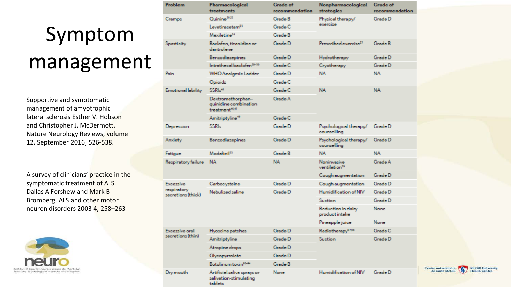#### Symptom

#### management

Supportive and symptomatic management of amyotrophic lateral sclerosis Esther V. Hobson and Christopher J. McDermott. Nature Neurology Reviews, volume 12, September 2016, 526-538.

A survey of clinicians' practice in the symptomatic treatment of ALS. Dallas A Forshew and Mark B Bromberg. ALS and other motor neuron disorders 2003 4, 258–263



|  | <b>Problem</b>                                        | Pharmacological<br>treatments                                            | <b>Grade</b> of<br>recommendation | Nonpharmacological<br>strategies         | Grade of<br>recommendation |
|--|-------------------------------------------------------|--------------------------------------------------------------------------|-----------------------------------|------------------------------------------|----------------------------|
|  | Cramps                                                | Quinine <sup>20,22</sup>                                                 | Grade B                           | Physical therapy/<br>exercise            | Grade D                    |
|  |                                                       | Levetiracetam <sup>23</sup>                                              | Grade C                           |                                          |                            |
|  |                                                       | Mexiletine <sup>24</sup>                                                 | Grade B                           |                                          |                            |
|  | Spasticity                                            | Baclofen, tizanidine or<br>dentrolene                                    | Grade D                           | Prescribed exercise <sup>27</sup>        | Grade B                    |
|  |                                                       | <b>Benzodiazepines</b>                                                   | Grade D                           | Hydrotherapy                             | Grade D                    |
|  |                                                       | Intrathecal baclofen <sup>28-30</sup>                                    | Grade C                           | Cryotherapy                              | Grade D                    |
|  | Pain                                                  | WHO Analgesio Ladder                                                     | Grade D                           | NA.                                      | <b>NA</b>                  |
|  |                                                       | Opioids                                                                  | Grade C                           |                                          |                            |
|  | Emotional lability                                    | SSRI- <sup>44</sup>                                                      | Grade C                           | NA.                                      | NA.                        |
|  |                                                       | Dextromethorphan-<br>quinidine combination<br>treatment <sup>46,47</sup> | Grade A                           |                                          |                            |
|  |                                                       | Amitriptyline <sup>49</sup>                                              | Grade C                           |                                          |                            |
|  | Depression                                            | <b>SSRI-</b>                                                             | Grade D                           | Psychological therapy/<br>counselling    | Grade D                    |
|  | Anxiety                                               | Benzodiazepines                                                          | Grade D                           | Psychological therapy/<br>counselling    | Grade D                    |
|  | Fatigue                                               | Modefini <sup>[53</sup>                                                  | Grade B                           | <b>NA</b>                                | <b>NA</b>                  |
|  | Respiratory failure                                   | <b>NA</b>                                                                | <b>NA</b>                         | Noninvasive<br>ventilation <sup>79</sup> | Grade A                    |
|  |                                                       |                                                                          |                                   | Cough augmentation                       | Grade D                    |
|  | <b>Expessive</b><br>respiratory<br>secretions (thick) | Carbocysteine                                                            | Grade D                           | Cough augmentation                       | Grade D                    |
|  |                                                       | Nebulised saline                                                         | Grade D                           | Humidification of NIV                    | Grade D                    |
|  |                                                       |                                                                          |                                   | <b>Suction</b>                           | Grade D                    |
|  |                                                       |                                                                          |                                   | Reduction in dairy<br>product intake     | <b>None</b>                |
|  |                                                       |                                                                          |                                   | Pineapple juice                          | <b>None</b>                |
|  | <b>Excessive oral</b><br>secretions (thin)            | Hyoscine patches                                                         | Grade D                           | Radiotherapy <sup>97,98</sup>            | Grade C                    |
|  |                                                       | Amitriptyline                                                            | Grade D                           | <b>Suction</b>                           | Grade D                    |
|  |                                                       | Atropine drops                                                           | Grade D                           |                                          |                            |
|  |                                                       | Glycopyrrolate                                                           | Grade D                           |                                          |                            |
|  |                                                       | Botulinum toxin <sup>92-94</sup>                                         | Grade B                           |                                          |                            |
|  | Dry mouth                                             | Artificial saliva sprays or<br>salivation-stimulating<br>teblets         | None                              | Humidification of NIV                    | Grade D                    |

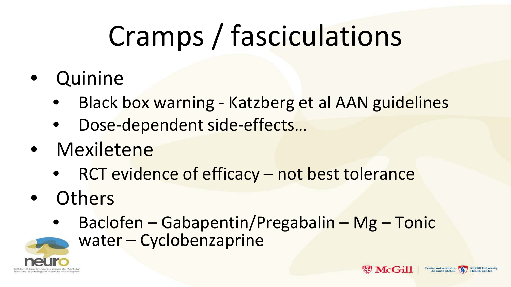# Cramps / fasciculations

- **Quinine** 
	- Black box warning Katzberg et al AAN guidelines
	- Dose-dependent side-effects...
- Mexiletene
	- RCT evidence of efficacy not best tolerance
- **Others** 
	- Baclofen Gabapentin/Pregabalin Mg Tonic
		- water Cyclobenzaprine





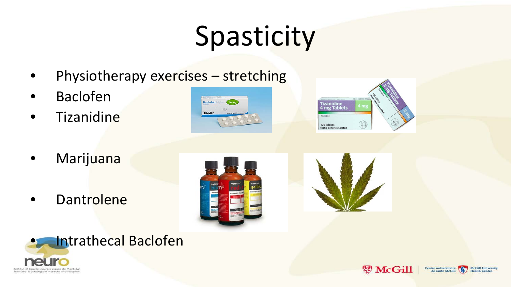# **Spasticity**

- Physiotherapy exercises stretching
- Baclofen
- **Tizanidine**





**W** McGill

Centre universitaire

de santé McGil

McCill University

**Health Centi** 

- Marijuana
- Dantrolene





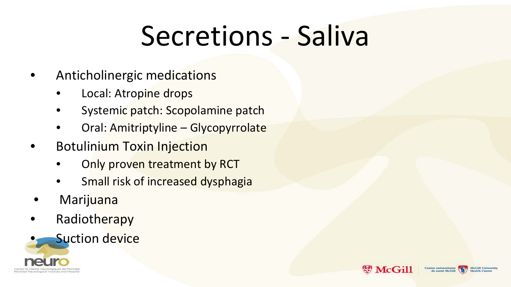# Secretions - Saliva

∉ಕ

**McGill** 

entre universitaire

- Anticholinergic medications
	- Local: Atropine drops
	- Systemic patch: Scopolamine patch
	- Oral: Amitriptyline Glycopyrrolate
- **Botulinium Toxin Injection** 
	- Only proven treatment by RCT
	- Small risk of increased dysphagia
- Marijuana
- Radiotherapy

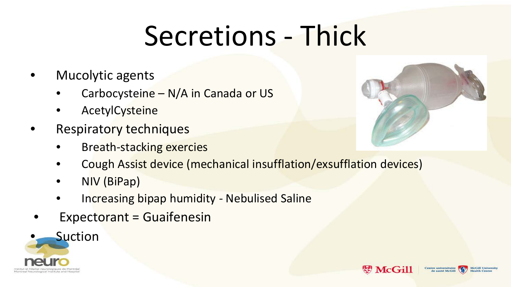# Secretions - Thick

- Mucolytic agents
	- Carbocysteine N/A in Canada or US
	- **AcetylCysteine**
- Respiratory techniques
	- Breath-stacking exercies
	- Cough Assist device (mechanical insufflation/exsufflation devices)
	- NIV (BiPap)
	- Increasing bipap humidity Nebulised Saline
- Expectorant = Guaifenesin





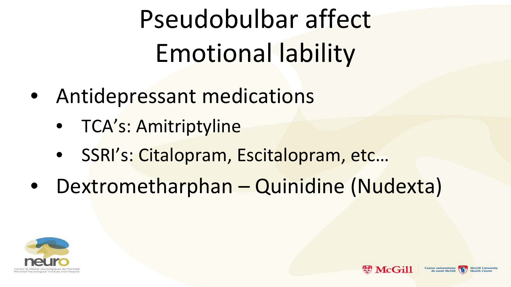Pseudobulbar affect Emotional lability

- Antidepressant medications
	- TCA's: Amitriptyline
	- SSRI's: Citalopram, Escitalopram, etc…
- Dextrometharphan Quinidine (Nudexta)



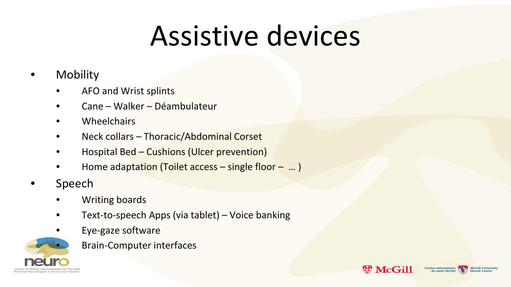## Assistive devices

#### **Mobility**

- AFO and Wrist splints
- Cane Walker Déambulateur
- **Wheelchairs**
- Neck collars Thoracic/Abdominal Corset
- Hospital Bed Cushions (Ulcer prevention)
- Home adaptation (Toilet access  $-$  single floor  $-$  ...)
- Speech
	- Writing boards
	- Text-to-speech Apps (via tablet) Voice banking
	- Eye-gaze software
		- Brain-Computer interfaces



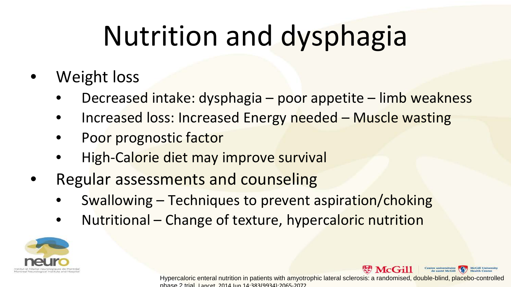# Nutrition and dysphagia

- Weight loss
	- Decreased intake: dysphagia poor appetite limb weakness
	- Increased loss: Increased Energy needed Muscle wasting
	- Poor prognostic factor
	- High-Calorie diet may improve survival
- Regular assessments and counseling
	- Swallowing Techniques to prevent aspiration/choking
	- Nutritional Change of texture, hypercaloric nutrition





Hypercaloric enteral nutrition in patients with amyotrophic lateral sclerosis: a randomised, double-blind, placebo-controlled phase 2 trial Lancet 2014 Jun 14;383(9934):2065-2072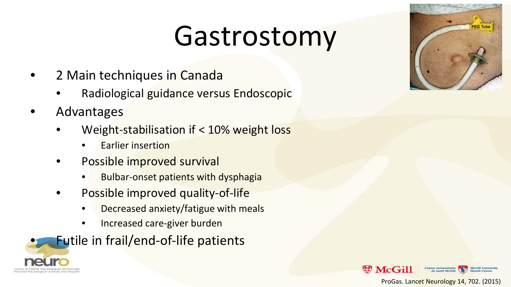### Gastrostomy

- 2 Main techniques in Canada
	- Radiological guidance versus Endoscopic
- Advantages
	- Weight-stabilisation if < 10% weight loss
		- **Earlier insertion**
	- Possible improved survival
		- Bulbar-onset patients with dysphagia
	- Possible improved quality-of-life
		- Decreased anxiety/fatigue with meals
		- Increased care-giver burden

Futile in frail/end-of-life patients







ProGas. Lancet Neurology 14, 702. (2015)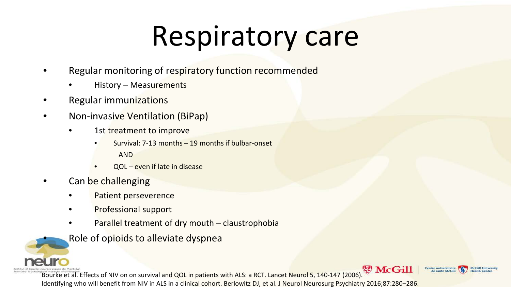# Respiratory care

- Regular monitoring of respiratory function recommended
	- History Measurements
- Regular immunizations
- Non-invasive Ventilation (BiPap)
	- 1st treatment to improve
		- Survival: 7-13 months 19 months if bulbar-onset AND
		- QOL even if late in disease
- Can be challenging
	- Patient perseverence
	- Professional support
	- Parallel treatment of dry mouth claustrophobia
	- Role of opioids to alleviate dyspnea

Bourke et al. Effects of NIV on on survival and QOL in patients with ALS: a RCT. Lancet Neurol 5, 140-147 (2006). WHOGILL Identifying who will benefit from NIV in ALS in a clinical cohort. Berlowitz DJ, et al. J Neurol Neurosurg Psychiatry 2016;87:280–286. entre universitaire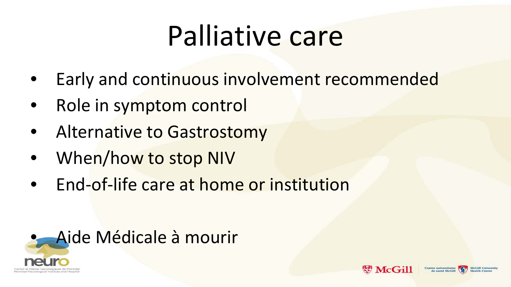# Palliative care

- Early and continuous involvement recommended
- Role in symptom control
- Alternative to Gastrostomy
- When/how to stop NIV
- End-of-life care at home or institution



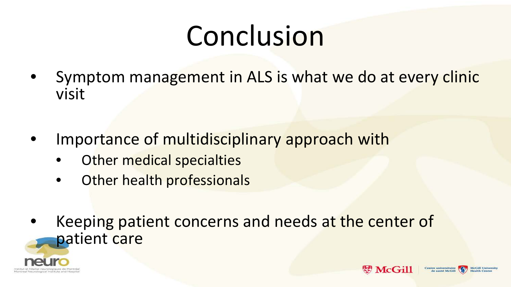# Conclusion

- Symptom management in ALS is what we do at every clinic visit
- Importance of multidisciplinary approach with
	- Other medical specialties
	- Other health professionals
- Keeping patient concerns and needs at the center of patient care